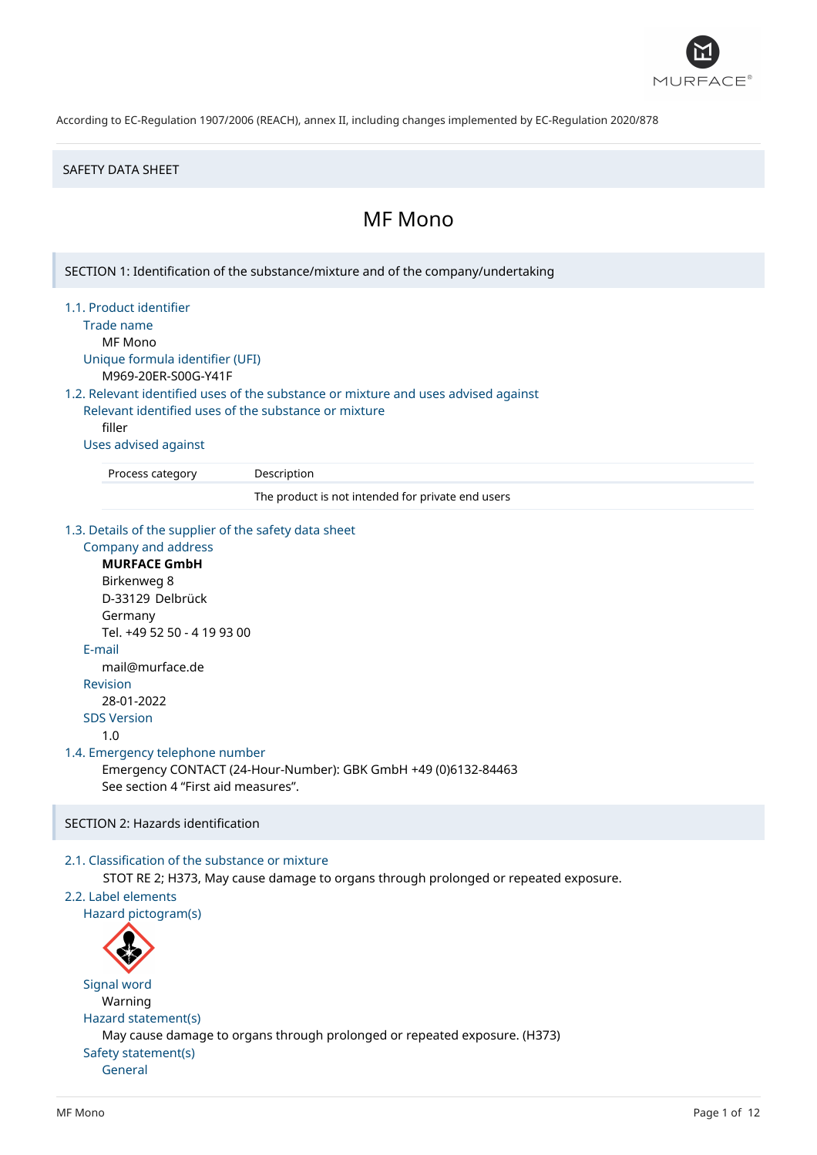

#### SAFETY DATA SHEET

# MF Mono

SECTION 1: Identification of the substance/mixture and of the company/undertaking

1.1. Product identifier

Trade name

MF Mono

Unique formula identifier (UFI) M969-20ER-S00G-Y41F

1.2. Relevant identified uses of the substance or mixture and uses advised against

Relevant identified uses of the substance or mixture filler

Uses advised against

Process category Description

The product is not intended for private end users

1.3. Details of the supplier of the safety data sheet

```
Company and address
     MURFACE GmbH
     Birkenweg 8
     D-33129 Delbrück
     Germany
     Tel. +49 52 50 - 4 19 93 00
  E-mail
     mail@murface.de
  Revision
     28-01-2022
  SDS Version
     1.0
1.4. Emergency telephone number
     Emergency CONTACT (24-Hour-Number): GBK GmbH +49 (0)6132-84463
     See section 4 "First aid measures".
```
# SECTION 2: Hazards identification

# 2.1. Classification of the substance or mixture

STOT RE 2; H373, May cause damage to organs through prolonged or repeated exposure.

# 2.2. Label elements

Hazard pictogram(s)



Signal word Warning Hazard statement(s) May cause damage to organs through prolonged or repeated exposure. (H373) Safety statement(s) General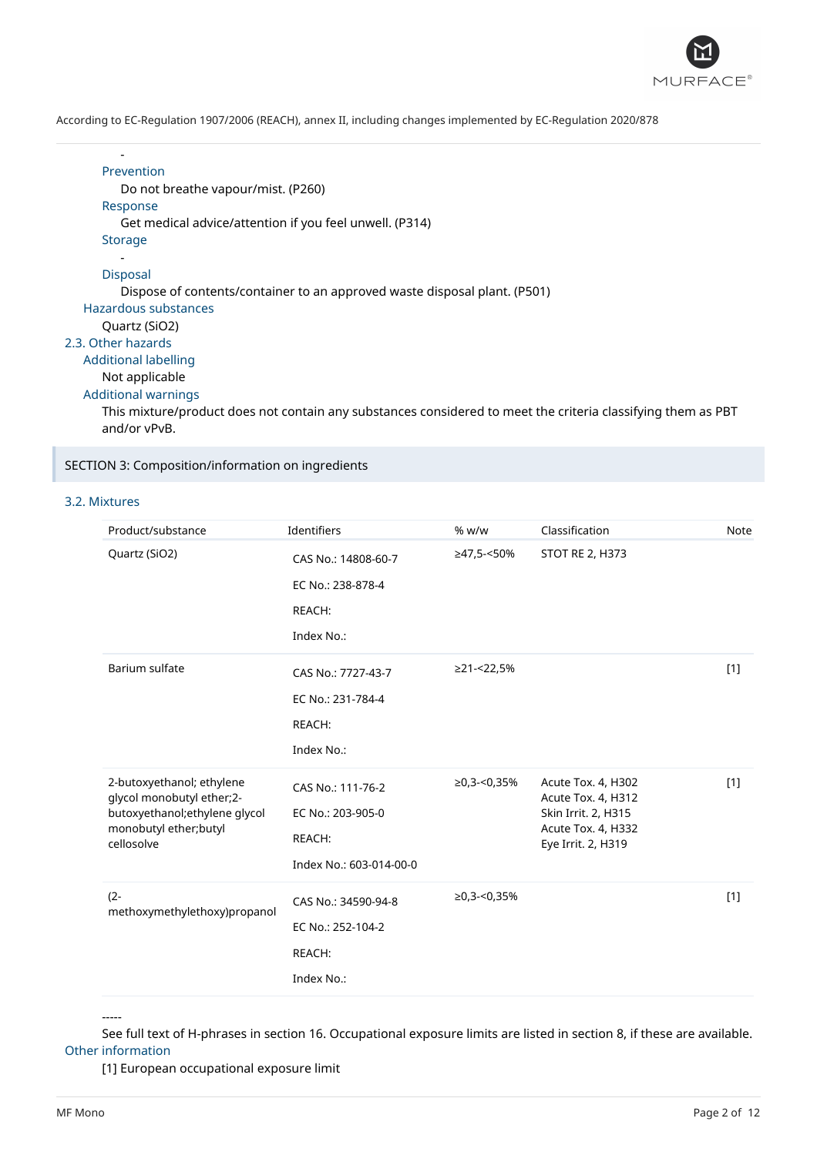

#### - Prevention

Do not breathe vapour/mist. (P260)

Response

Get medical advice/attention if you feel unwell. (P314)

**Storage** 

#### - Disposal

Dispose of contents/container to an approved waste disposal plant. (P501)

Hazardous substances

```
Quartz (SiO2)
```
# 2.3. Other hazards

Additional labelling

# Not applicable

Additional warnings

This mixture/product does not contain any substances considered to meet the criteria classifying them as PBT and/or vPvB.

# SECTION 3: Composition/information on ingredients

# 3.2. Mixtures

| Product/substance                                                                                                               | Identifiers                                                                 | % w/w          | Classification                                                                                              | Note  |
|---------------------------------------------------------------------------------------------------------------------------------|-----------------------------------------------------------------------------|----------------|-------------------------------------------------------------------------------------------------------------|-------|
| Quartz (SiO2)                                                                                                                   | CAS No.: 14808-60-7<br>EC No.: 238-878-4<br>REACH:<br>Index No.:            | ≥47,5-<50%     | <b>STOT RE 2, H373</b>                                                                                      |       |
| Barium sulfate                                                                                                                  | CAS No.: 7727-43-7<br>EC No.: 231-784-4<br>REACH:<br>Index No.:             | ≥21-<22,5%     |                                                                                                             | $[1]$ |
| 2-butoxyethanol; ethylene<br>glycol monobutyl ether;2-<br>butoxyethanol;ethylene glycol<br>monobutyl ether; butyl<br>cellosolve | CAS No.: 111-76-2<br>EC No.: 203-905-0<br>REACH:<br>Index No.: 603-014-00-0 | $≥0,3$ -<0,35% | Acute Tox. 4, H302<br>Acute Tox. 4, H312<br>Skin Irrit. 2, H315<br>Acute Tox. 4, H332<br>Eye Irrit. 2, H319 | $[1]$ |
| $(2 -$<br>methoxymethylethoxy)propanol                                                                                          | CAS No.: 34590-94-8<br>EC No.: 252-104-2<br>REACH:<br>Index No.:            | $≥0,3$ -<0,35% |                                                                                                             | $[1]$ |

-----

See full text of H-phrases in section 16. Occupational exposure limits are listed in section 8, if these are available. Other information

[1] European occupational exposure limit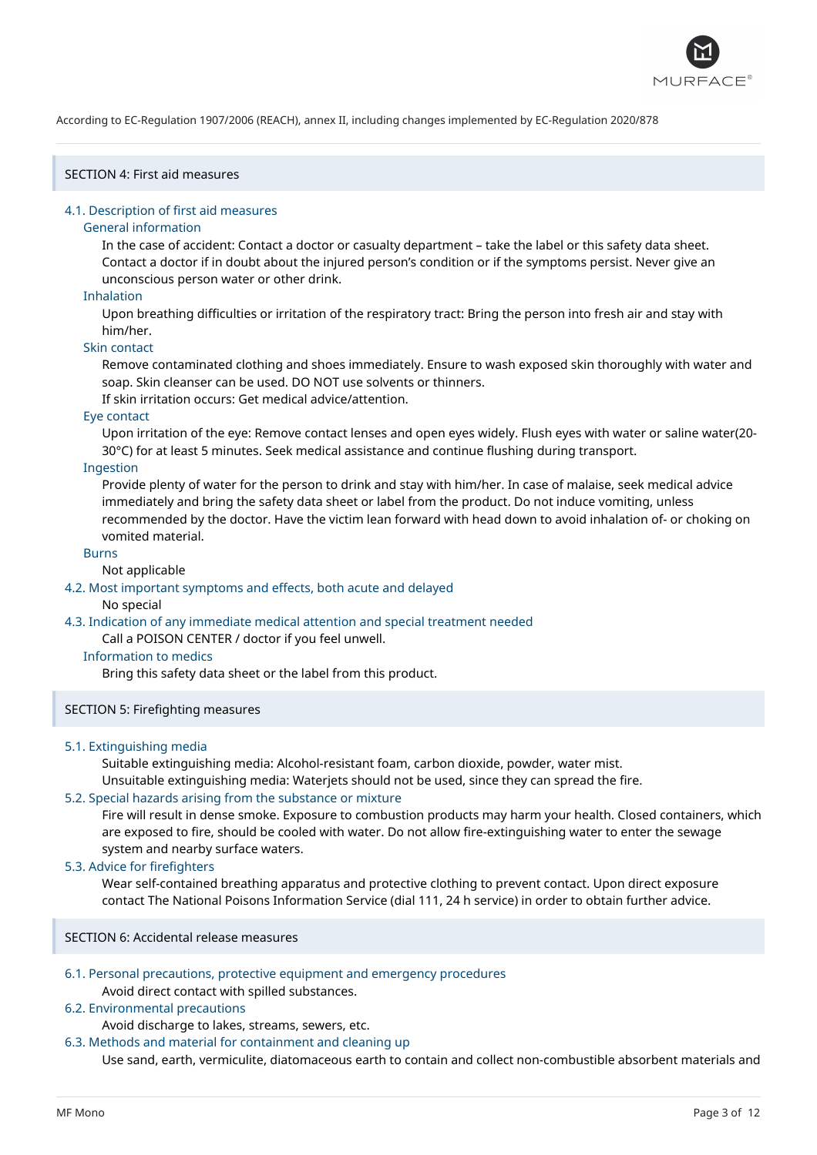

# SECTION 4: First aid measures

#### 4.1. Description of first aid measures

#### General information

In the case of accident: Contact a doctor or casualty department – take the label or this safety data sheet. Contact a doctor if in doubt about the injured person's condition or if the symptoms persist. Never give an unconscious person water or other drink.

#### Inhalation

Upon breathing difficulties or irritation of the respiratory tract: Bring the person into fresh air and stay with him/her.

#### Skin contact

Remove contaminated clothing and shoes immediately. Ensure to wash exposed skin thoroughly with water and soap. Skin cleanser can be used. DO NOT use solvents or thinners.

If skin irritation occurs: Get medical advice/attention.

# Eye contact

Upon irritation of the eye: Remove contact lenses and open eyes widely. Flush eyes with water or saline water(20- 30°C) for at least 5 minutes. Seek medical assistance and continue flushing during transport.

# Ingestion

Provide plenty of water for the person to drink and stay with him/her. In case of malaise, seek medical advice immediately and bring the safety data sheet or label from the product. Do not induce vomiting, unless recommended by the doctor. Have the victim lean forward with head down to avoid inhalation of- or choking on vomited material.

#### Burns

#### Not applicable

4.2. Most important symptoms and effects, both acute and delayed

#### No special

### 4.3. Indication of any immediate medical attention and special treatment needed

Call a POISON CENTER / doctor if you feel unwell.

# Information to medics

Bring this safety data sheet or the label from this product.

#### SECTION 5: Firefighting measures

#### 5.1. Extinguishing media

Suitable extinguishing media: Alcohol-resistant foam, carbon dioxide, powder, water mist.

Unsuitable extinguishing media: Waterjets should not be used, since they can spread the fire.

#### 5.2. Special hazards arising from the substance or mixture

Fire will result in dense smoke. Exposure to combustion products may harm your health. Closed containers, which are exposed to fire, should be cooled with water. Do not allow fire-extinguishing water to enter the sewage system and nearby surface waters.

# 5.3. Advice for firefighters

Wear self-contained breathing apparatus and protective clothing to prevent contact. Upon direct exposure contact The National Poisons Information Service (dial 111, 24 h service) in order to obtain further advice.

SECTION 6: Accidental release measures

# 6.1. Personal precautions, protective equipment and emergency procedures

#### Avoid direct contact with spilled substances.

# 6.2. Environmental precautions

Avoid discharge to lakes, streams, sewers, etc.

### 6.3. Methods and material for containment and cleaning up

Use sand, earth, vermiculite, diatomaceous earth to contain and collect non-combustible absorbent materials and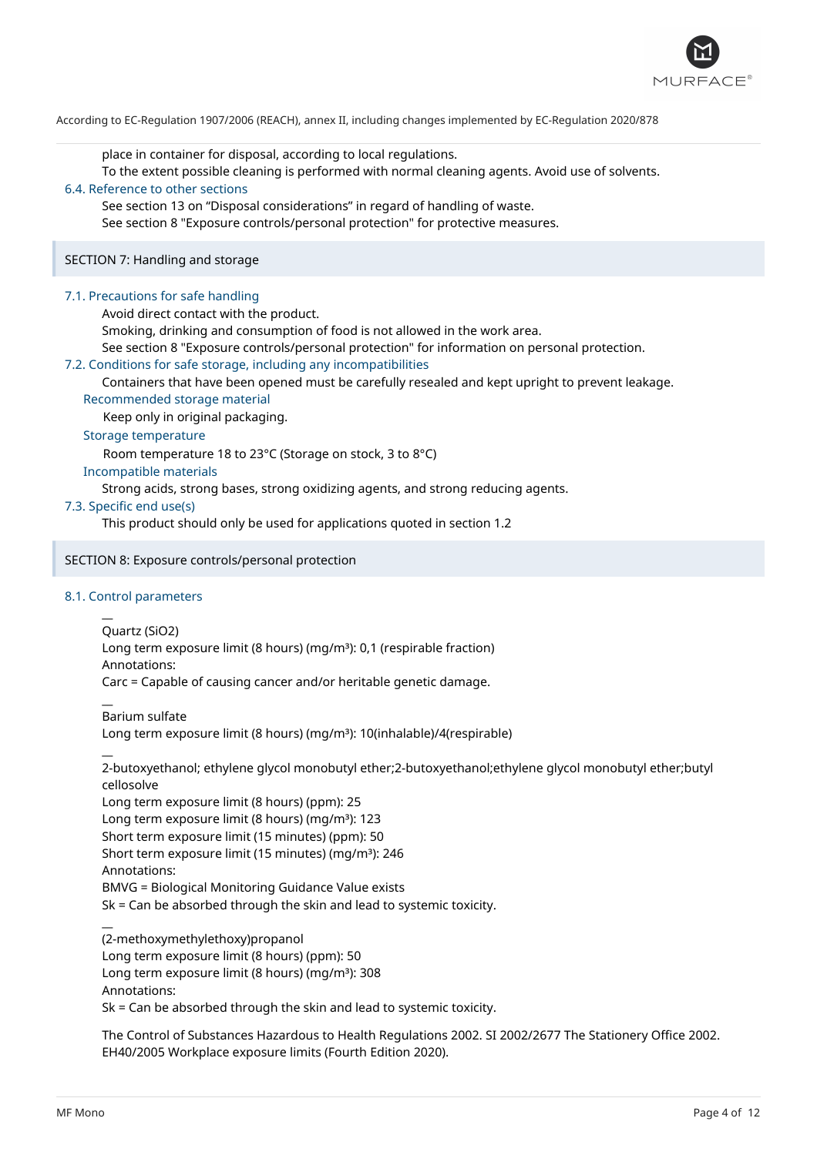

place in container for disposal, according to local regulations.

To the extent possible cleaning is performed with normal cleaning agents. Avoid use of solvents.

# 6.4. Reference to other sections

See section 13 on "Disposal considerations" in regard of handling of waste. See section 8 "Exposure controls/personal protection" for protective measures.

SECTION 7: Handling and storage

# 7.1. Precautions for safe handling

Avoid direct contact with the product.

Smoking, drinking and consumption of food is not allowed in the work area.

See section 8 "Exposure controls/personal protection" for information on personal protection.

# 7.2. Conditions for safe storage, including any incompatibilities

Containers that have been opened must be carefully resealed and kept upright to prevent leakage.

# Recommended storage material

Keep only in original packaging.

### Storage temperature

Room temperature 18 to 23°C (Storage on stock, 3 to 8°C)

# Incompatible materials

Strong acids, strong bases, strong oxidizing agents, and strong reducing agents.

# 7.3. Specific end use(s)

This product should only be used for applications quoted in section 1.2

# SECTION 8: Exposure controls/personal protection

# 8.1. Control parameters

 $\overline{a}$ 

 $\overline{a}$ 

 $\overline{a}$ 

Quartz (SiO2)

Long term exposure limit (8 hours) (mg/m<sup>3</sup>): 0,1 (respirable fraction)

Annotations:

Carc = Capable of causing cancer and/or heritable genetic damage.

 $\overline{a}$ Barium sulfate

Long term exposure limit (8 hours) (mg/m<sup>3</sup>): 10(inhalable)/4(respirable)

2-butoxyethanol; ethylene glycol monobutyl ether;2-butoxyethanol;ethylene glycol monobutyl ether;butyl cellosolve

Long term exposure limit (8 hours) (ppm): 25

Long term exposure limit (8 hours) (mg/m<sup>3</sup>): 123

Short term exposure limit (15 minutes) (ppm): 50

Short term exposure limit (15 minutes) (mq/m<sup>3</sup>): 246

Annotations:

BMVG = Biological Monitoring Guidance Value exists

Sk = Can be absorbed through the skin and lead to systemic toxicity.

(2-methoxymethylethoxy)propanol

Long term exposure limit (8 hours) (ppm): 50

Long term exposure limit (8 hours) (mg/m<sup>3</sup>): 308

Annotations:

Sk = Can be absorbed through the skin and lead to systemic toxicity.

The Control of Substances Hazardous to Health Regulations 2002. SI 2002/2677 The Stationery Office 2002. EH40/2005 Workplace exposure limits (Fourth Edition 2020).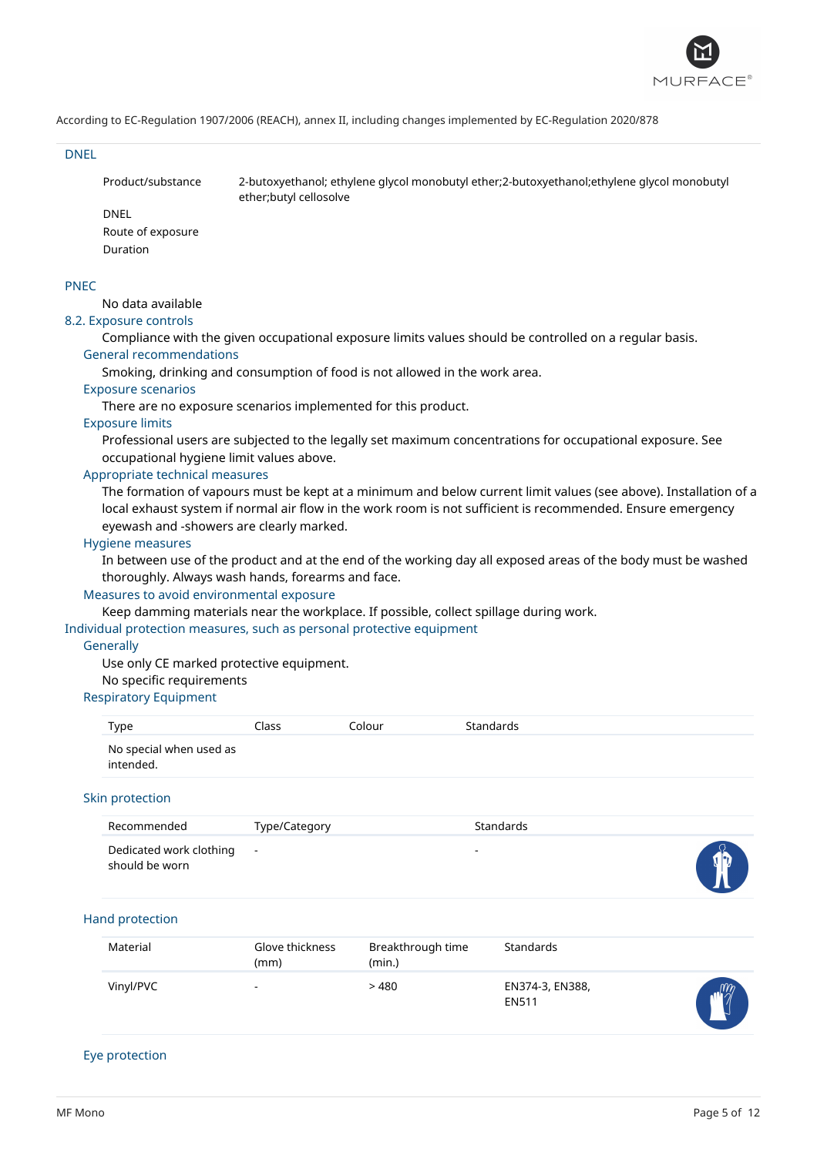

#### DNEL

Product/substance 2-butoxyethanol; ethylene glycol monobutyl ether;2-butoxyethanol;ethylene glycol monobutyl ether;butyl cellosolve

# DNEL

Route of exposure Duration

#### PNEC

No data available

# 8.2. Exposure controls

Compliance with the given occupational exposure limits values should be controlled on a regular basis. General recommendations

Smoking, drinking and consumption of food is not allowed in the work area.

# Exposure scenarios

There are no exposure scenarios implemented for this product.

# Exposure limits

Professional users are subjected to the legally set maximum concentrations for occupational exposure. See occupational hygiene limit values above.

### Appropriate technical measures

The formation of vapours must be kept at a minimum and below current limit values (see above). Installation of a local exhaust system if normal air flow in the work room is not sufficient is recommended. Ensure emergency eyewash and -showers are clearly marked.

#### Hygiene measures

In between use of the product and at the end of the working day all exposed areas of the body must be washed thoroughly. Always wash hands, forearms and face.

# Measures to avoid environmental exposure

Keep damming materials near the workplace. If possible, collect spillage during work.

Individual protection measures, such as personal protective equipment

#### **Generally**

Use only CE marked protective equipment. No specific requirements

# Respiratory Equipment

| Type                                 | Class | Colour | Standards |
|--------------------------------------|-------|--------|-----------|
| No special when used as<br>intended. |       |        |           |

#### Skin protection

| Recommended                                 | Type/Category | Standards |           |
|---------------------------------------------|---------------|-----------|-----------|
| Dedicated work clothing -<br>should be worn |               | $\sim$    | <b>ID</b> |

#### Hand protection

| Material  | Glove thickness<br>(mm)  | Breakthrough time<br>(min.) | Standards                       |              |
|-----------|--------------------------|-----------------------------|---------------------------------|--------------|
| Vinyl/PVC | $\overline{\phantom{a}}$ | > 480                       | EN374-3, EN388,<br><b>EN511</b> | $\mathbb{M}$ |

#### Eye protection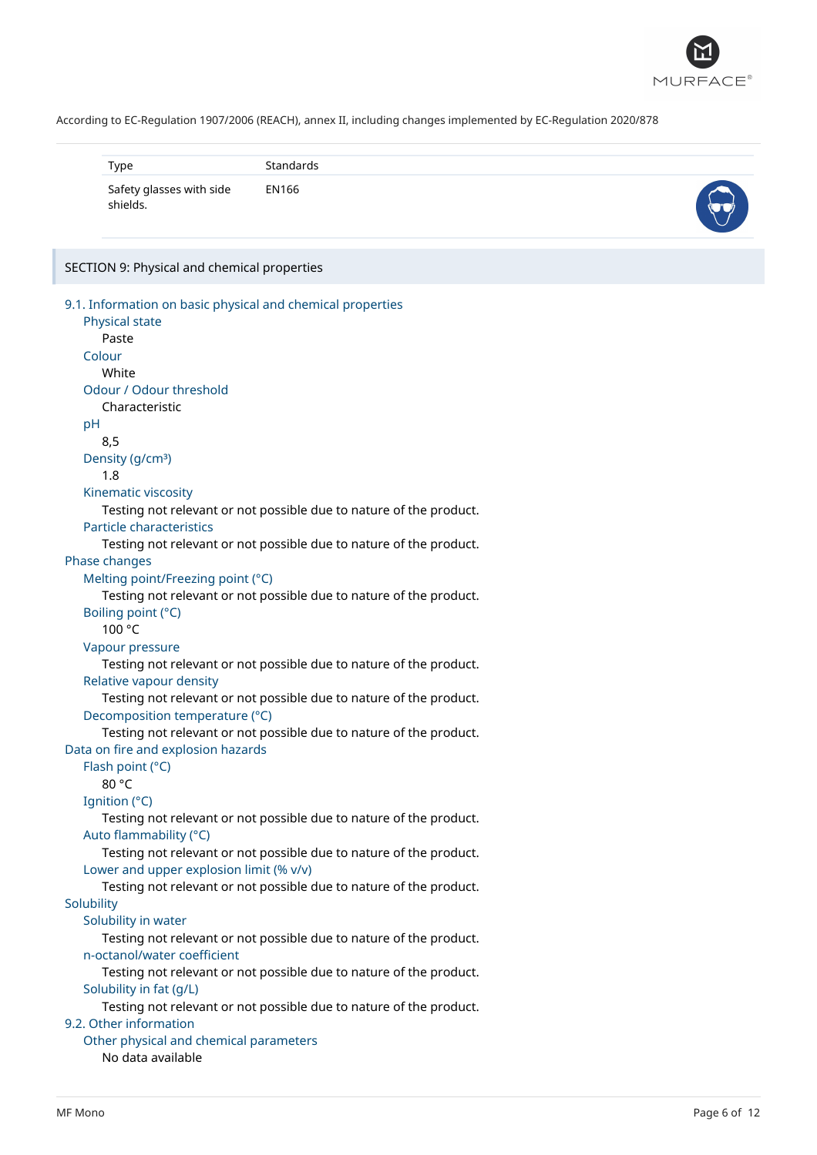

| Type                                 | Standards |  |
|--------------------------------------|-----------|--|
| Safety glasses with side<br>shields. | EN166     |  |

#### SECTION 9: Physical and chemical properties

```
9.1. Information on basic physical and chemical properties
   Physical state
      Paste
   Colour
      White
   Odour / Odour threshold
      Characteristic
   pH
      8,5
   Density (g/cm<sup>3</sup>)
      1.8
   Kinematic viscosity
      Testing not relevant or not possible due to nature of the product.
   Particle characteristics
      Testing not relevant or not possible due to nature of the product.
Phase changes
   Melting point/Freezing point (°C)
      Testing not relevant or not possible due to nature of the product.
   Boiling point (°C)
      100 °C
   Vapour pressure
      Testing not relevant or not possible due to nature of the product.
   Relative vapour density
      Testing not relevant or not possible due to nature of the product.
   Decomposition temperature (°C)
      Testing not relevant or not possible due to nature of the product.
Data on fire and explosion hazards
   Flash point (°C)
      80 °C
  Ignition (°C)
      Testing not relevant or not possible due to nature of the product.
   Auto flammability (°C)
      Testing not relevant or not possible due to nature of the product.
   Lower and upper explosion limit (% v/v)
      Testing not relevant or not possible due to nature of the product.
Solubility
   Solubility in water
      Testing not relevant or not possible due to nature of the product.
   n-octanol/water coefficient
      Testing not relevant or not possible due to nature of the product.
   Solubility in fat (g/L)
      Testing not relevant or not possible due to nature of the product.
9.2. Other information
   Other physical and chemical parameters
      No data available
```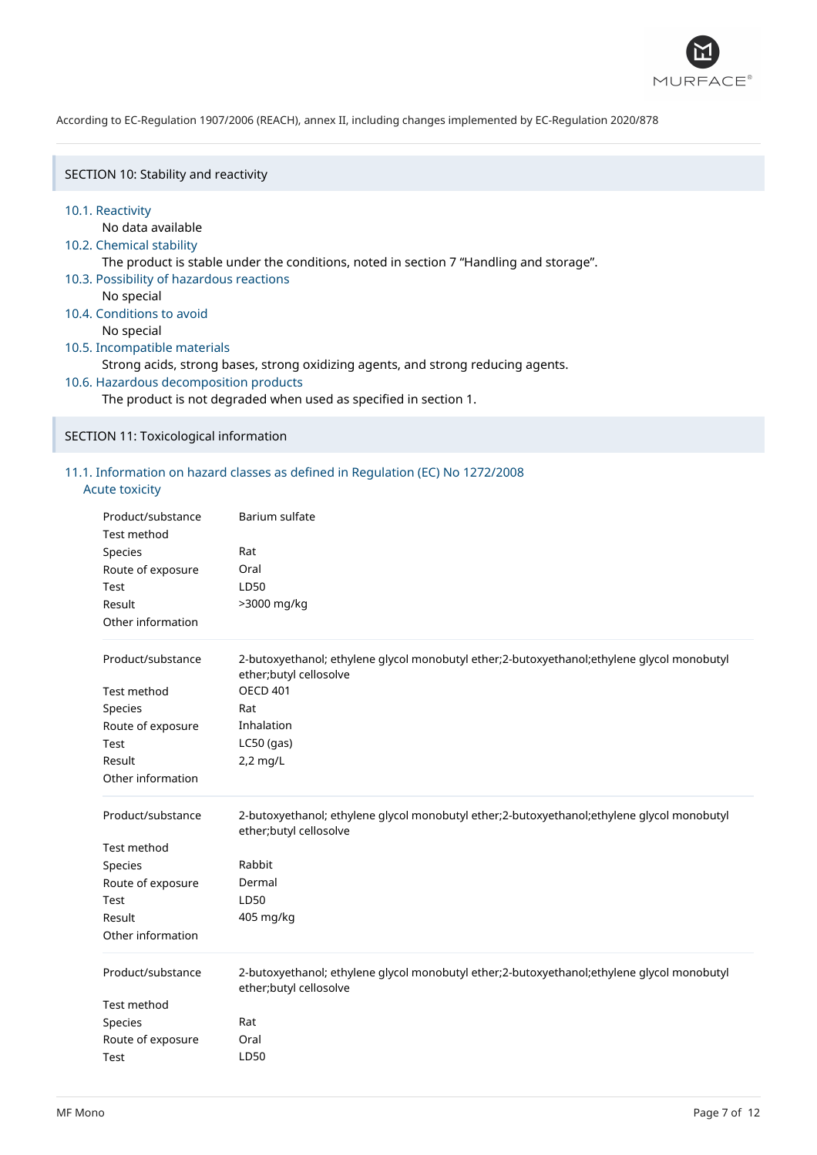

SECTION 10: Stability and reactivity

#### 10.1. Reactivity

No data available

# 10.2. Chemical stability

The product is stable under the conditions, noted in section 7 "Handling and storage".

- 10.3. Possibility of hazardous reactions
	- No special
- 10.4. Conditions to avoid

No special

# 10.5. Incompatible materials

Strong acids, strong bases, strong oxidizing agents, and strong reducing agents.

10.6. Hazardous decomposition products

The product is not degraded when used as specified in section 1.

### SECTION 11: Toxicological information

# 11.1. Information on hazard classes as defined in Regulation (EC) No 1272/2008

# Acute toxicity

| Product/substance<br>Test method | Barium sulfate                                                                                                       |
|----------------------------------|----------------------------------------------------------------------------------------------------------------------|
| Species                          | Rat                                                                                                                  |
| Route of exposure                | Oral                                                                                                                 |
| Test                             | LD50                                                                                                                 |
| Result                           | >3000 mg/kg                                                                                                          |
| Other information                |                                                                                                                      |
| Product/substance                | 2-butoxyethanol; ethylene glycol monobutyl ether;2-butoxyethanol;ethylene glycol monobutyl<br>ether;butyl cellosolve |
| Test method                      | <b>OECD 401</b>                                                                                                      |
| Species                          | Rat                                                                                                                  |
| Route of exposure                | Inhalation                                                                                                           |
| Test                             | $LC50$ (gas)                                                                                                         |
| Result                           | 2,2 mg/L                                                                                                             |
| Other information                |                                                                                                                      |
|                                  |                                                                                                                      |
| Product/substance                | 2-butoxyethanol; ethylene glycol monobutyl ether;2-butoxyethanol;ethylene glycol monobutyl<br>ether;butyl cellosolve |
| Test method                      |                                                                                                                      |
| Species                          | Rabbit                                                                                                               |
| Route of exposure                | Dermal                                                                                                               |
| Test                             | LD50                                                                                                                 |
| Result                           | 405 mg/kg                                                                                                            |
| Other information                |                                                                                                                      |
| Product/substance                | 2-butoxyethanol; ethylene glycol monobutyl ether;2-butoxyethanol;ethylene glycol monobutyl<br>ether;butyl cellosolve |
| Test method                      |                                                                                                                      |
| Species                          | Rat                                                                                                                  |
| Route of exposure                | Oral                                                                                                                 |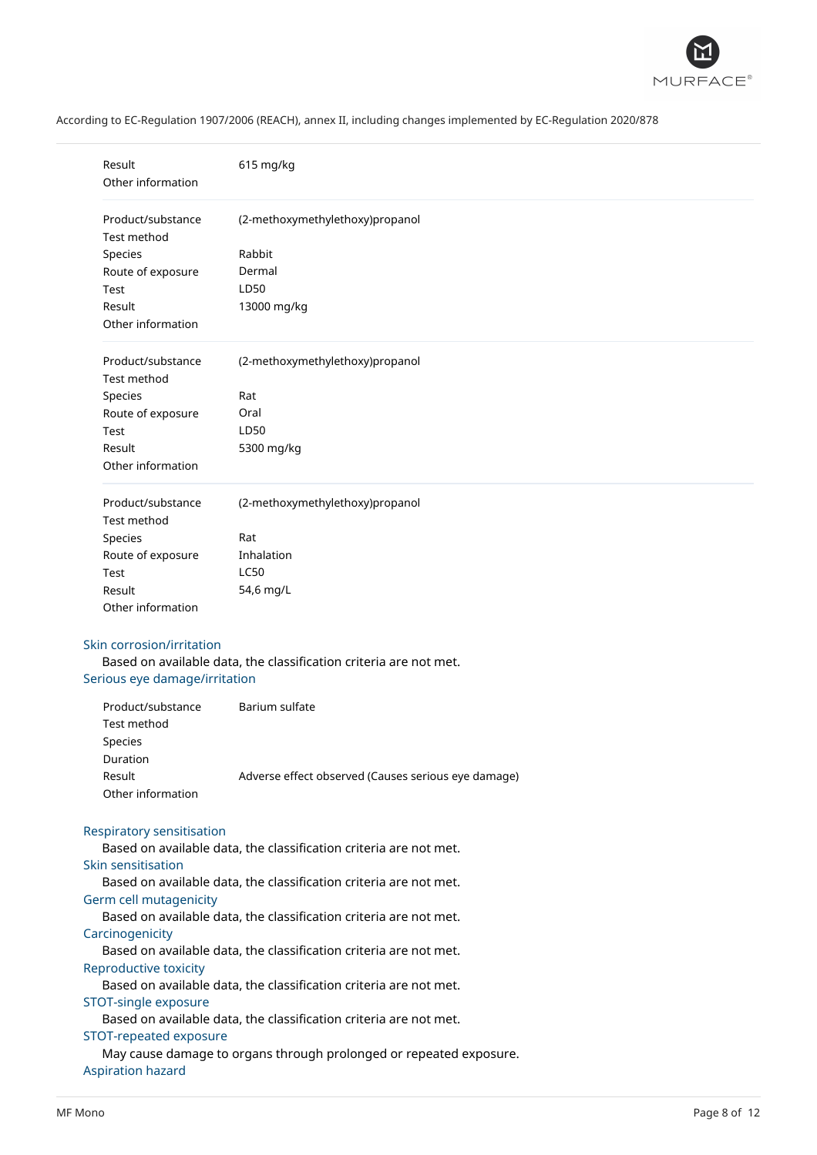

| Result<br>Other information                                                                 | 615 mg/kg                                                         |  |  |
|---------------------------------------------------------------------------------------------|-------------------------------------------------------------------|--|--|
| Product/substance<br><b>Test method</b>                                                     | (2-methoxymethylethoxy)propanol                                   |  |  |
| Species                                                                                     | Rabbit                                                            |  |  |
| Route of exposure                                                                           | Dermal                                                            |  |  |
| Test                                                                                        | LD50                                                              |  |  |
| Result                                                                                      | 13000 mg/kg                                                       |  |  |
| Other information                                                                           |                                                                   |  |  |
| Product/substance<br>Test method                                                            | (2-methoxymethylethoxy)propanol                                   |  |  |
| Species                                                                                     | Rat                                                               |  |  |
| Route of exposure                                                                           | Oral                                                              |  |  |
| Test                                                                                        | LD50                                                              |  |  |
| Result                                                                                      | 5300 mg/kg                                                        |  |  |
| Other information                                                                           |                                                                   |  |  |
| Product/substance<br><b>Test method</b>                                                     | (2-methoxymethylethoxy)propanol                                   |  |  |
| Species                                                                                     | Rat                                                               |  |  |
| Route of exposure                                                                           | Inhalation                                                        |  |  |
| Test                                                                                        | LC50                                                              |  |  |
| Result                                                                                      | 54,6 mg/L                                                         |  |  |
| Other information                                                                           |                                                                   |  |  |
| Skin corrosion/irritation<br>Serious eye damage/irritation                                  | Based on available data, the classification criteria are not met. |  |  |
| Product/substance<br>Test method<br>Species                                                 | Barium sulfate                                                    |  |  |
| Duration                                                                                    |                                                                   |  |  |
| Result<br>Other information                                                                 | Adverse effect observed (Causes serious eye damage)               |  |  |
| Respiratory sensitisation                                                                   | Based on available data, the classification criteria are not met. |  |  |
| Skin sensitisation                                                                          | Based on available data, the classification criteria are not met. |  |  |
| Germ cell mutagenicity                                                                      | Based on available data, the classification criteria are not met. |  |  |
| Carcinogenicity                                                                             |                                                                   |  |  |
|                                                                                             | Based on available data, the classification criteria are not met. |  |  |
| Reproductive toxicity                                                                       | Based on available data, the classification criteria are not met. |  |  |
| STOT-single exposure                                                                        |                                                                   |  |  |
|                                                                                             |                                                                   |  |  |
| Based on available data, the classification criteria are not met.<br>STOT-repeated exposure |                                                                   |  |  |
| May cause damage to organs through prolonged or repeated exposure.                          |                                                                   |  |  |
| <b>Aspiration hazard</b>                                                                    |                                                                   |  |  |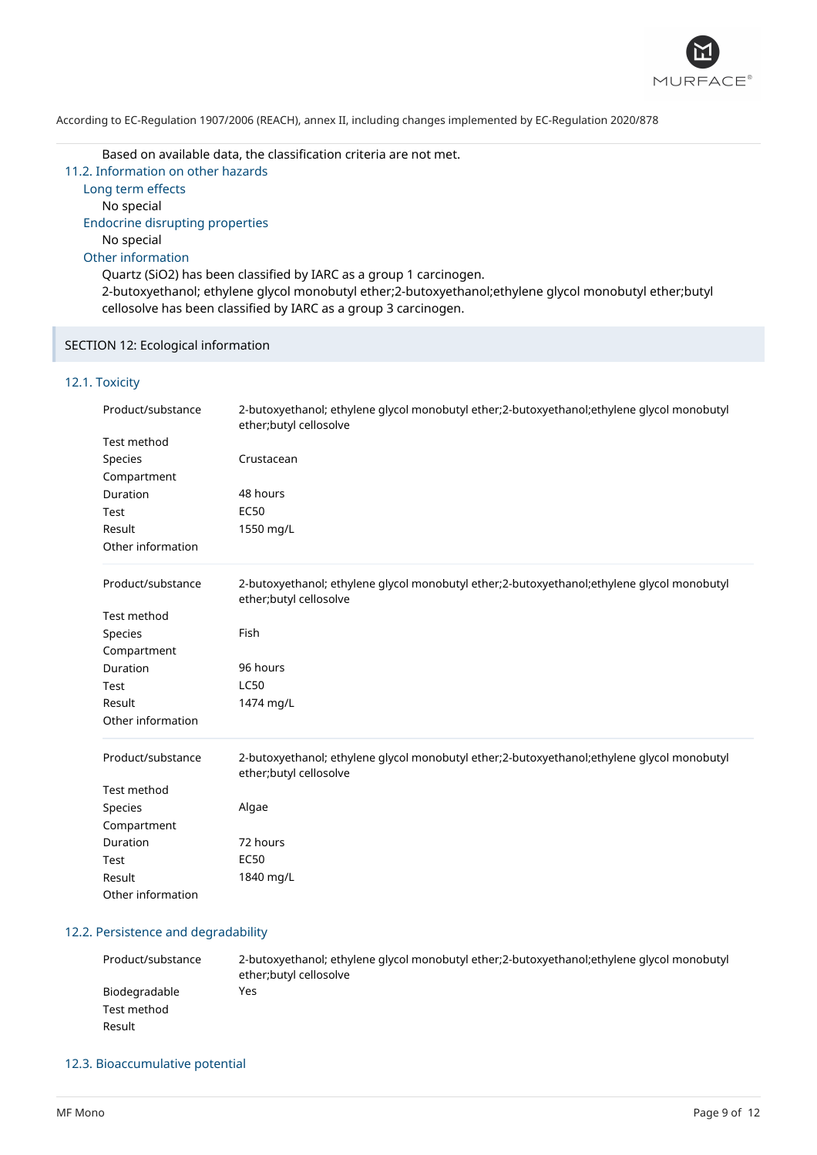

Based on available data, the classification criteria are not met.

11.2. Information on other hazards Long term effects No special Endocrine disrupting properties No special Other information

Quartz (SiO2) has been classified by IARC as a group 1 carcinogen. 2-butoxyethanol; ethylene glycol monobutyl ether;2-butoxyethanol;ethylene glycol monobutyl ether;butyl cellosolve has been classified by IARC as a group 3 carcinogen.

# SECTION 12: Ecological information

# 12.1. Toxicity

| Product/substance | 2-butoxyethanol; ethylene glycol monobutyl ether;2-butoxyethanol;ethylene glycol monobutyl<br>ether;butyl cellosolve |
|-------------------|----------------------------------------------------------------------------------------------------------------------|
| Test method       |                                                                                                                      |
| <b>Species</b>    | Crustacean                                                                                                           |
| Compartment       |                                                                                                                      |
| Duration          | 48 hours                                                                                                             |
| Test              | <b>EC50</b>                                                                                                          |
| Result            | 1550 mg/L                                                                                                            |
| Other information |                                                                                                                      |
| Product/substance | 2-butoxyethanol; ethylene glycol monobutyl ether;2-butoxyethanol;ethylene glycol monobutyl<br>ether;butyl cellosolve |
| Test method       |                                                                                                                      |
| Species           | Fish                                                                                                                 |
| Compartment       |                                                                                                                      |
| Duration          | 96 hours                                                                                                             |
| Test              | <b>LC50</b>                                                                                                          |
| Result            | 1474 mg/L                                                                                                            |
| Other information |                                                                                                                      |
| Product/substance | 2-butoxyethanol; ethylene glycol monobutyl ether;2-butoxyethanol;ethylene glycol monobutyl<br>ether;butyl cellosolve |
| Test method       |                                                                                                                      |
| <b>Species</b>    | Algae                                                                                                                |
| Compartment       |                                                                                                                      |
| Duration          | 72 hours                                                                                                             |
| Test              | <b>EC50</b>                                                                                                          |
| Result            | 1840 mg/L                                                                                                            |
| Other information |                                                                                                                      |

### 12.2. Persistence and degradability

| Product/substance | 2-butoxyethanol; ethylene glycol monobutyl ether; 2-butoxyethanol; ethylene glycol monobutyl<br>ether; butyl cellosolve |
|-------------------|-------------------------------------------------------------------------------------------------------------------------|
| Biodegradable     | Yes                                                                                                                     |
| Test method       |                                                                                                                         |
| Result            |                                                                                                                         |

# 12.3. Bioaccumulative potential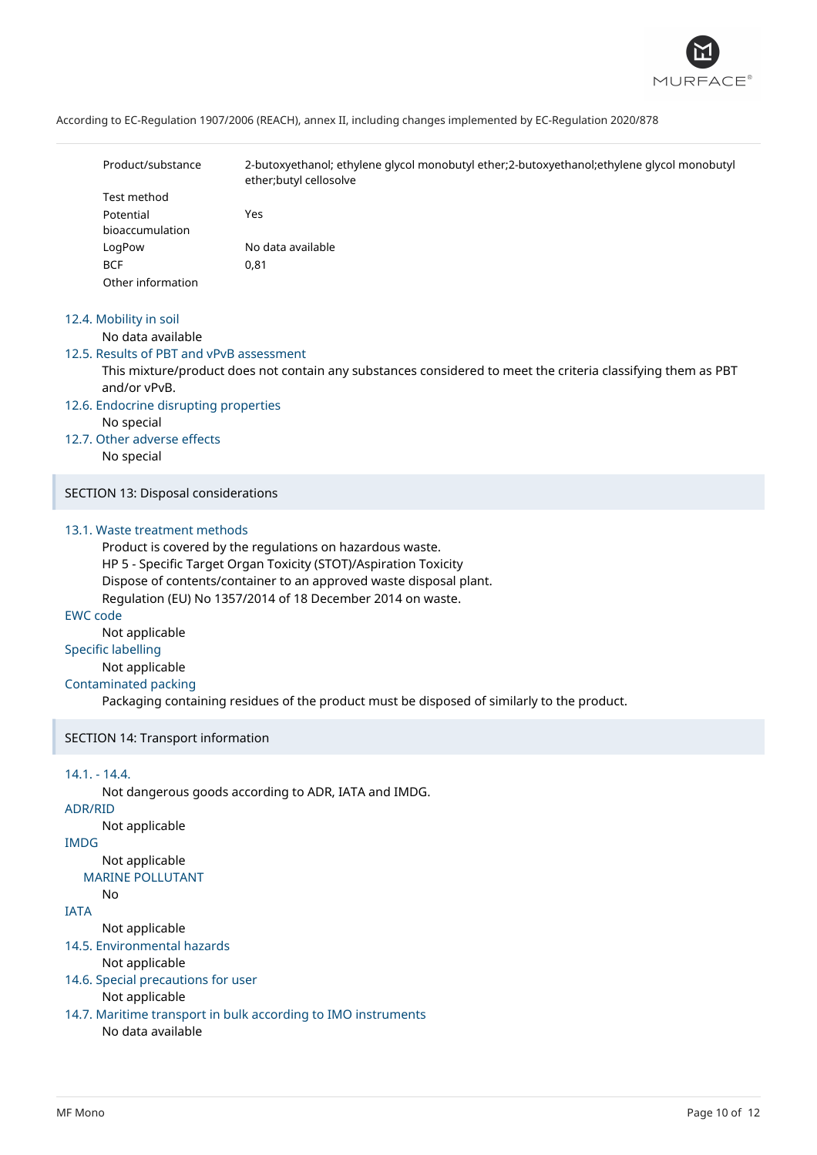

| Product/substance | 2-butoxyethanol; ethylene glycol monobutyl ether;2-butoxyethanol;ethylene glycol monobutyl<br>ether; butyl cellosolve |
|-------------------|-----------------------------------------------------------------------------------------------------------------------|
| Test method       |                                                                                                                       |
| Potential         | Yes                                                                                                                   |
| bioaccumulation   |                                                                                                                       |
| LogPow            | No data available                                                                                                     |
| <b>BCF</b>        | 0,81                                                                                                                  |
| Other information |                                                                                                                       |

#### 12.4. Mobility in soil

No data available

# 12.5. Results of PBT and vPvB assessment

This mixture/product does not contain any substances considered to meet the criteria classifying them as PBT and/or vPvB.

#### 12.6. Endocrine disrupting properties

No special

#### 12.7. Other adverse effects

No special

SECTION 13: Disposal considerations

#### 13.1. Waste treatment methods

Product is covered by the regulations on hazardous waste. HP 5 - Specific Target Organ Toxicity (STOT)/Aspiration Toxicity Dispose of contents/container to an approved waste disposal plant. Regulation (EU) No 1357/2014 of 18 December 2014 on waste.

#### EWC code

Not applicable Specific labelling

#### Not applicable

#### Contaminated packing

Packaging containing residues of the product must be disposed of similarly to the product.

#### SECTION 14: Transport information

14.1. - 14.4. Not dangerous goods according to ADR, IATA and IMDG. ADR/RID Not applicable IMDG Not applicable MARINE POLLUTANT No IATA Not applicable 14.5. Environmental hazards Not applicable 14.6. Special precautions for user Not applicable 14.7. Maritime transport in bulk according to IMO instruments No data available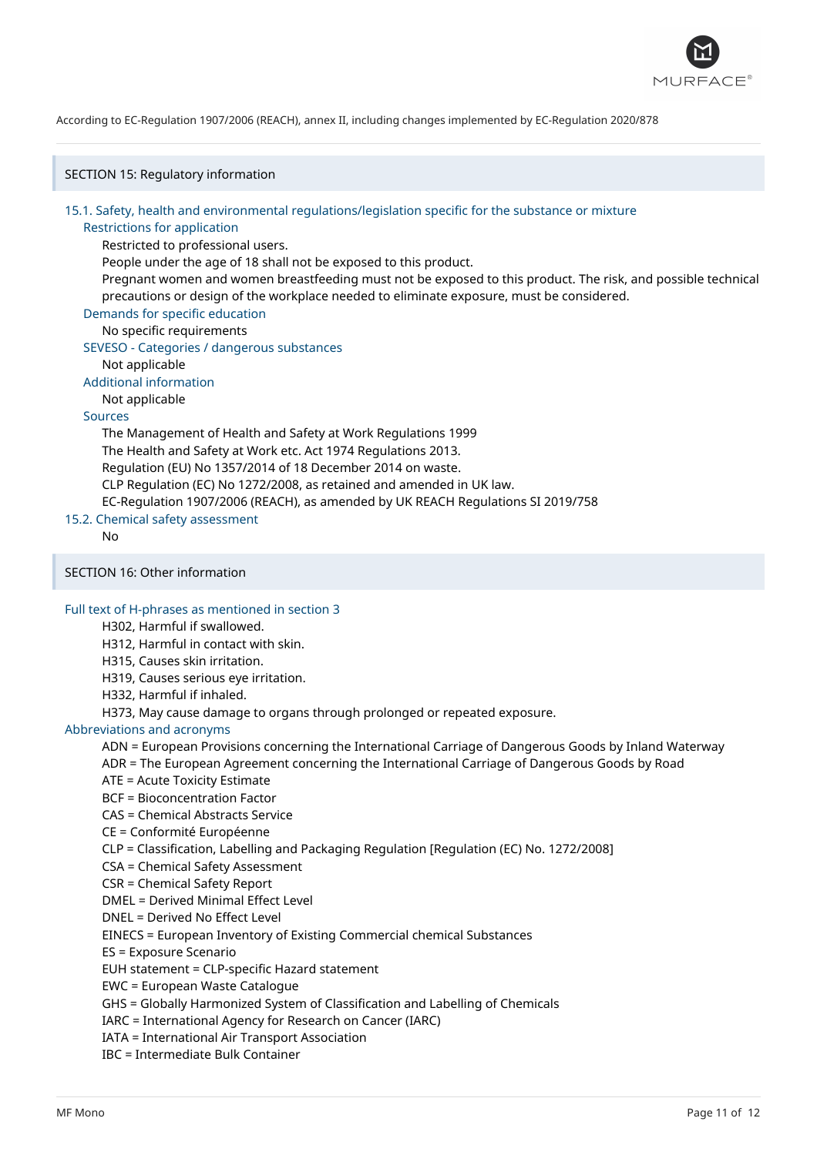

SECTION 15: Regulatory information

# 15.1. Safety, health and environmental regulations/legislation specific for the substance or mixture

#### Restrictions for application

Restricted to professional users.

People under the age of 18 shall not be exposed to this product.

Pregnant women and women breastfeeding must not be exposed to this product. The risk, and possible technical precautions or design of the workplace needed to eliminate exposure, must be considered.

Demands for specific education

# No specific requirements

SEVESO - Categories / dangerous substances

Not applicable

Additional information

Not applicable

# Sources

The Management of Health and Safety at Work Regulations 1999 The Health and Safety at Work etc. Act 1974 Regulations 2013. Regulation (EU) No 1357/2014 of 18 December 2014 on waste. CLP Regulation (EC) No 1272/2008, as retained and amended in UK law. EC-Regulation 1907/2006 (REACH), as amended by UK REACH Regulations SI 2019/758

15.2. Chemical safety assessment

No

SECTION 16: Other information

#### Full text of H-phrases as mentioned in section 3

H302, Harmful if swallowed.

H312, Harmful in contact with skin.

H315, Causes skin irritation.

H319, Causes serious eye irritation.

H332, Harmful if inhaled.

H373, May cause damage to organs through prolonged or repeated exposure.

### Abbreviations and acronyms

ADN = European Provisions concerning the International Carriage of Dangerous Goods by Inland Waterway

ADR = The European Agreement concerning the International Carriage of Dangerous Goods by Road

- ATE = Acute Toxicity Estimate
- BCF = Bioconcentration Factor

CAS = Chemical Abstracts Service

CE = Conformité Européenne

CLP = Classification, Labelling and Packaging Regulation [Regulation (EC) No. 1272/2008]

- CSA = Chemical Safety Assessment
- CSR = Chemical Safety Report

DMEL = Derived Minimal Effect Level

DNEL = Derived No Effect Level

EINECS = European Inventory of Existing Commercial chemical Substances

ES = Exposure Scenario

EUH statement = CLP-specific Hazard statement

EWC = European Waste Catalogue

GHS = Globally Harmonized System of Classification and Labelling of Chemicals

IARC = International Agency for Research on Cancer (IARC)

IATA = International Air Transport Association

IBC = Intermediate Bulk Container